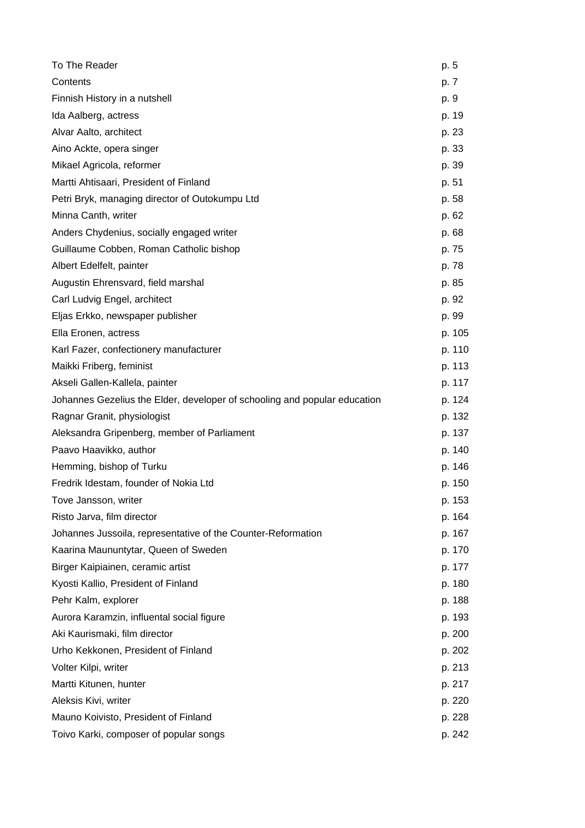| To The Reader                                                             | p. 5   |
|---------------------------------------------------------------------------|--------|
| Contents                                                                  | p. 7   |
| Finnish History in a nutshell                                             | p. 9   |
| Ida Aalberg, actress                                                      | p. 19  |
| Alvar Aalto, architect                                                    | p. 23  |
| Aino Ackte, opera singer                                                  | p. 33  |
| Mikael Agricola, reformer                                                 | p. 39  |
| Martti Ahtisaari, President of Finland                                    | p. 51  |
| Petri Bryk, managing director of Outokumpu Ltd                            | p. 58  |
| Minna Canth, writer                                                       | p. 62  |
| Anders Chydenius, socially engaged writer                                 | p. 68  |
| Guillaume Cobben, Roman Catholic bishop                                   | p. 75  |
| Albert Edelfelt, painter                                                  | p. 78  |
| Augustin Ehrensvard, field marshal                                        | p. 85  |
| Carl Ludvig Engel, architect                                              | p. 92  |
| Eljas Erkko, newspaper publisher                                          | p. 99  |
| Ella Eronen, actress                                                      | p. 105 |
| Karl Fazer, confectionery manufacturer                                    | p. 110 |
| Maikki Friberg, feminist                                                  | p. 113 |
| Akseli Gallen-Kallela, painter                                            | p. 117 |
| Johannes Gezelius the Elder, developer of schooling and popular education | p. 124 |
| Ragnar Granit, physiologist                                               | p. 132 |
| Aleksandra Gripenberg, member of Parliament                               | p. 137 |
| Paavo Haavikko, author                                                    | p. 140 |
| Hemming, bishop of Turku                                                  | p. 146 |
| Fredrik Idestam, founder of Nokia Ltd                                     | p. 150 |
| Tove Jansson, writer                                                      | p. 153 |
| Risto Jarva, film director                                                | p. 164 |
| Johannes Jussoila, representative of the Counter-Reformation              | p. 167 |
| Kaarina Maununtytar, Queen of Sweden                                      | p. 170 |
| Birger Kaipiainen, ceramic artist                                         | p. 177 |
| Kyosti Kallio, President of Finland                                       | p. 180 |
| Pehr Kalm, explorer                                                       | p. 188 |
| Aurora Karamzin, influental social figure                                 | p. 193 |
| Aki Kaurismaki, film director                                             | p. 200 |
| Urho Kekkonen, President of Finland                                       | p. 202 |
| Volter Kilpi, writer                                                      | p. 213 |
| Martti Kitunen, hunter                                                    | p. 217 |
| Aleksis Kivi, writer                                                      | p. 220 |
| Mauno Koivisto, President of Finland                                      | p. 228 |
| Toivo Karki, composer of popular songs                                    | p. 242 |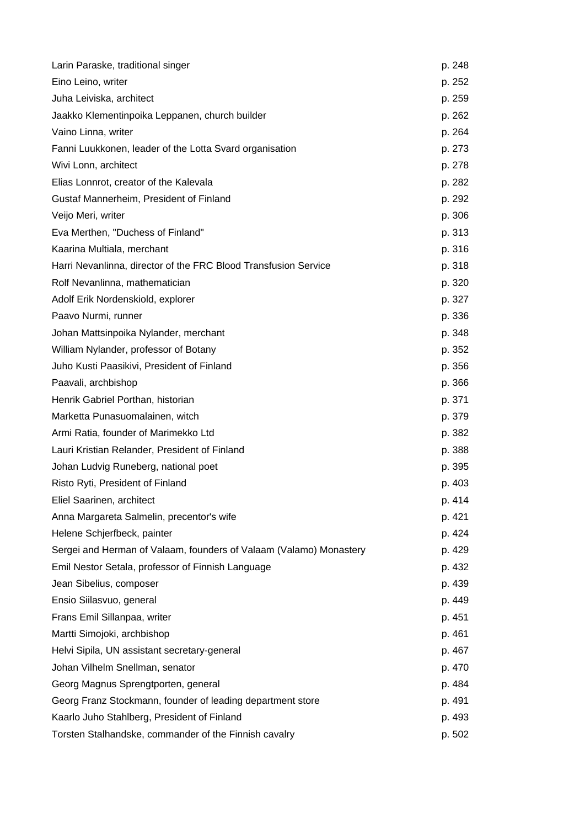| Larin Paraske, traditional singer                                  | p. 248 |
|--------------------------------------------------------------------|--------|
| Eino Leino, writer                                                 | p. 252 |
| Juha Leiviska, architect                                           | p. 259 |
| Jaakko Klementinpoika Leppanen, church builder                     | p. 262 |
| Vaino Linna, writer                                                | p. 264 |
| Fanni Luukkonen, leader of the Lotta Svard organisation            | p. 273 |
| Wivi Lonn, architect                                               | p. 278 |
| Elias Lonnrot, creator of the Kalevala                             | p. 282 |
| Gustaf Mannerheim, President of Finland                            | p. 292 |
| Veijo Meri, writer                                                 | p. 306 |
| Eva Merthen, "Duchess of Finland"                                  | p. 313 |
| Kaarina Multiala, merchant                                         | p. 316 |
| Harri Nevanlinna, director of the FRC Blood Transfusion Service    | p. 318 |
| Rolf Nevanlinna, mathematician                                     | p. 320 |
| Adolf Erik Nordenskiold, explorer                                  | p. 327 |
| Paavo Nurmi, runner                                                | p. 336 |
| Johan Mattsinpoika Nylander, merchant                              | p. 348 |
| William Nylander, professor of Botany                              | p. 352 |
| Juho Kusti Paasikivi, President of Finland                         | p. 356 |
| Paavali, archbishop                                                | p. 366 |
| Henrik Gabriel Porthan, historian                                  | p. 371 |
| Marketta Punasuomalainen, witch                                    | p. 379 |
| Armi Ratia, founder of Marimekko Ltd                               | p. 382 |
| Lauri Kristian Relander, President of Finland                      | p. 388 |
| Johan Ludvig Runeberg, national poet                               | p. 395 |
| Risto Ryti, President of Finland                                   | p. 403 |
| Eliel Saarinen, architect                                          | p. 414 |
| Anna Margareta Salmelin, precentor's wife                          | p. 421 |
| Helene Schjerfbeck, painter                                        | p. 424 |
| Sergei and Herman of Valaam, founders of Valaam (Valamo) Monastery | p. 429 |
| Emil Nestor Setala, professor of Finnish Language                  | p. 432 |
| Jean Sibelius, composer                                            | p. 439 |
| Ensio Siilasvuo, general                                           | p. 449 |
| Frans Emil Sillanpaa, writer                                       | p. 451 |
| Martti Simojoki, archbishop                                        | p. 461 |
| Helvi Sipila, UN assistant secretary-general                       | p. 467 |
| Johan Vilhelm Snellman, senator                                    | p. 470 |
| Georg Magnus Sprengtporten, general                                | p. 484 |
| Georg Franz Stockmann, founder of leading department store         | p. 491 |
| Kaarlo Juho Stahlberg, President of Finland                        | p. 493 |
| Torsten Stalhandske, commander of the Finnish cavalry              | p. 502 |